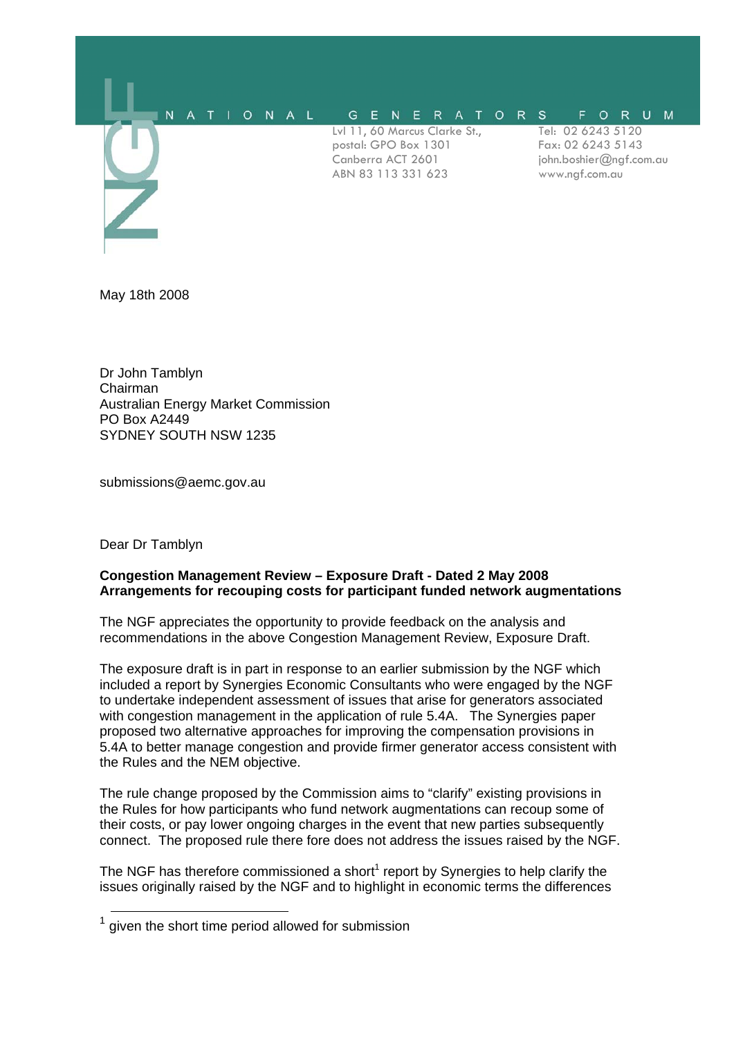

May 18th 2008

Dr John Tamblyn Chairman Australian Energy Market Commission PO Box A2449 SYDNEY SOUTH NSW 1235

submissions@aemc.gov.au

Dear Dr Tamblyn

### **Congestion Management Review – Exposure Draft - Dated 2 May 2008 Arrangements for recouping costs for participant funded network augmentations**

The NGF appreciates the opportunity to provide feedback on the analysis and recommendations in the above Congestion Management Review, Exposure Draft.

The exposure draft is in part in response to an earlier submission by the NGF which included a report by Synergies Economic Consultants who were engaged by the NGF to undertake independent assessment of issues that arise for generators associated with congestion management in the application of rule 5.4A. The Synergies paper proposed two alternative approaches for improving the compensation provisions in 5.4A to better manage congestion and provide firmer generator access consistent with the Rules and the NEM objective.

The rule change proposed by the Commission aims to "clarify" existing provisions in the Rules for how participants who fund network augmentations can recoup some of their costs, or pay lower ongoing charges in the event that new parties subsequently connect. The proposed rule there fore does not address the issues raised by the NGF.

The NGF has therefore commissioned a short<sup>1</sup> report by Synergies to help clarify the issues originally raised by the NGF and to highlight in economic terms the differences

 $<sup>1</sup>$  given the short time period allowed for submission</sup>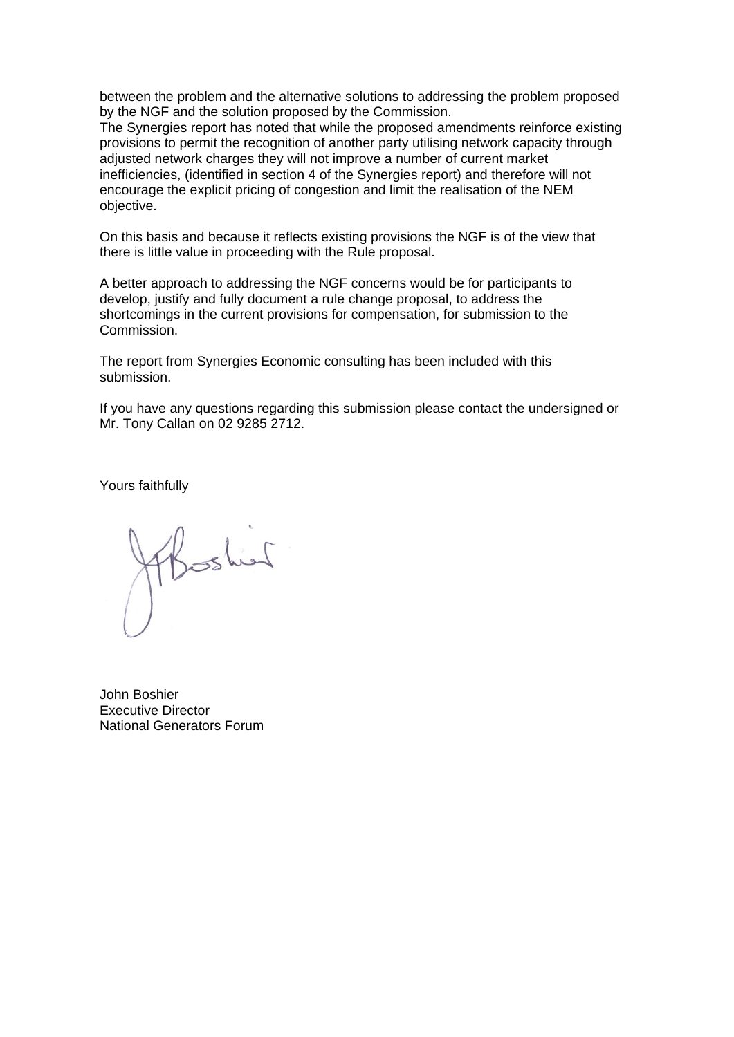between the problem and the alternative solutions to addressing the problem proposed by the NGF and the solution proposed by the Commission.

The Synergies report has noted that while the proposed amendments reinforce existing provisions to permit the recognition of another party utilising network capacity through adjusted network charges they will not improve a number of current market inefficiencies, (identified in section 4 of the Synergies report) and therefore will not encourage the explicit pricing of congestion and limit the realisation of the NEM objective.

On this basis and because it reflects existing provisions the NGF is of the view that there is little value in proceeding with the Rule proposal.

A better approach to addressing the NGF concerns would be for participants to develop, justify and fully document a rule change proposal, to address the shortcomings in the current provisions for compensation, for submission to the Commission.

The report from Synergies Economic consulting has been included with this submission.

If you have any questions regarding this submission please contact the undersigned or Mr. Tony Callan on 02 9285 2712.

Yours faithfully

Thished

John Boshier Executive Director National Generators Forum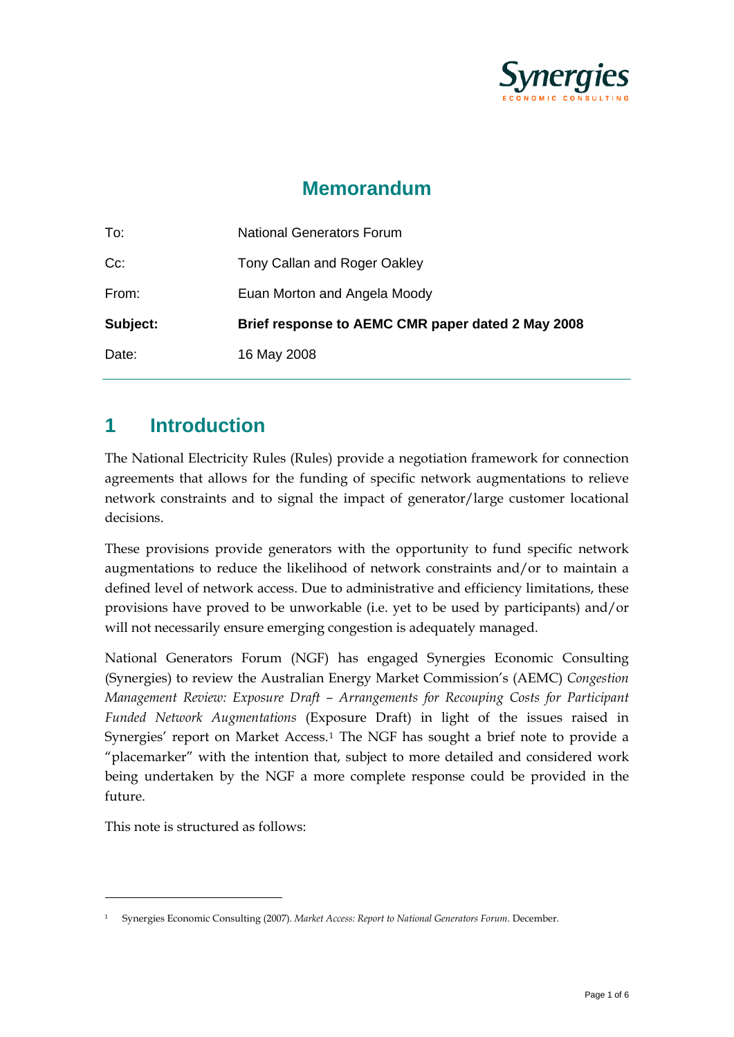

# **Memorandum**

| To:      | <b>National Generators Forum</b>                  |
|----------|---------------------------------------------------|
| $Cc$ :   | Tony Callan and Roger Oakley                      |
| From:    | Euan Morton and Angela Moody                      |
| Subject: | Brief response to AEMC CMR paper dated 2 May 2008 |
| Date:    | 16 May 2008                                       |

## **1 Introduction**

The National Electricity Rules (Rules) provide a negotiation framework for connection agreements that allows for the funding of specific network augmentations to relieve network constraints and to signal the impact of generator/large customer locational decisions.

These provisions provide generators with the opportunity to fund specific network augmentations to reduce the likelihood of network constraints and/or to maintain a defined level of network access. Due to administrative and efficiency limitations, these provisions have proved to be unworkable (i.e. yet to be used by participants) and/or will not necessarily ensure emerging congestion is adequately managed.

National Generators Forum (NGF) has engaged Synergies Economic Consulting (Synergies) to review the Australian Energy Market Commission's (AEMC) *Congestion Management Review: Exposure Draft – Arrangements for Recouping Costs for Participant Funded Network Augmentations* (Exposure Draft) in light of the issues raised in Synergies' report on Market Access.[1](#page-2-0) The NGF has sought a brief note to provide a "placemarker" with the intention that, subject to more detailed and considered work being undertaken by the NGF a more complete response could be provided in the future.

This note is structured as follows:

<u>.</u>

<span id="page-2-0"></span><sup>1</sup> Synergies Economic Consulting (2007). *Market Access: Report to National Generators Forum*. December.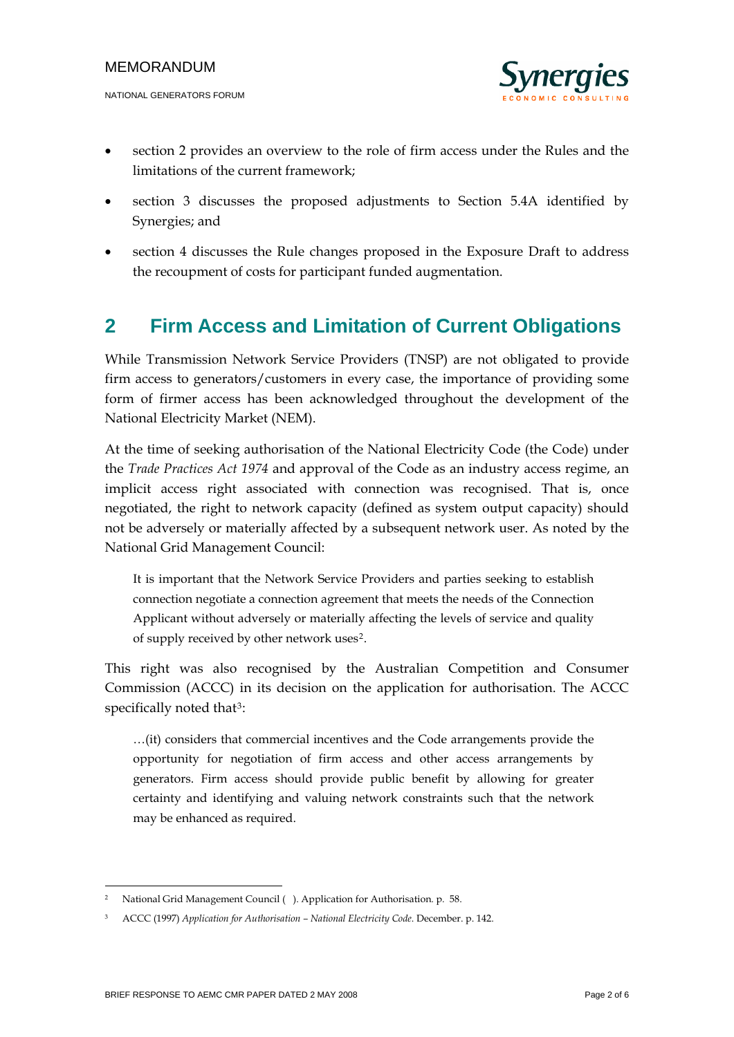

- section 2 provides an overview to the role of firm access under the Rules and the limitations of the current framework;
- section 3 discusses the proposed adjustments to Section 5.4A identified by Synergies; and
- section 4 discusses the Rule changes proposed in the Exposure Draft to address the recoupment of costs for participant funded augmentation.

# **2 Firm Access and Limitation of Current Obligations**

While Transmission Network Service Providers (TNSP) are not obligated to provide firm access to generators/customers in every case, the importance of providing some form of firmer access has been acknowledged throughout the development of the National Electricity Market (NEM).

At the time of seeking authorisation of the National Electricity Code (the Code) under the *Trade Practices Act 1974* and approval of the Code as an industry access regime, an implicit access right associated with connection was recognised. That is, once negotiated, the right to network capacity (defined as system output capacity) should not be adversely or materially affected by a subsequent network user. As noted by the National Grid Management Council:

It is important that the Network Service Providers and parties seeking to establish connection negotiate a connection agreement that meets the needs of the Connection Applicant without adversely or materially affecting the levels of service and quality of supply received by other network uses[2](#page-3-0).

This right was also recognised by the Australian Competition and Consumer Commission (ACCC) in its decision on the application for authorisation. The ACCC specifically noted that<sup>[3](#page-3-1)</sup>:

…(it) considers that commercial incentives and the Code arrangements provide the opportunity for negotiation of firm access and other access arrangements by generators. Firm access should provide public benefit by allowing for greater certainty and identifying and valuing network constraints such that the network may be enhanced as required.

-

<sup>2</sup> National Grid Management Council ( ). Application for Authorisation*.* p*.* 58.

<span id="page-3-1"></span><span id="page-3-0"></span><sup>3</sup> ACCC (1997) *Application for Authorisation – National Electricity Code*. December. p. 142.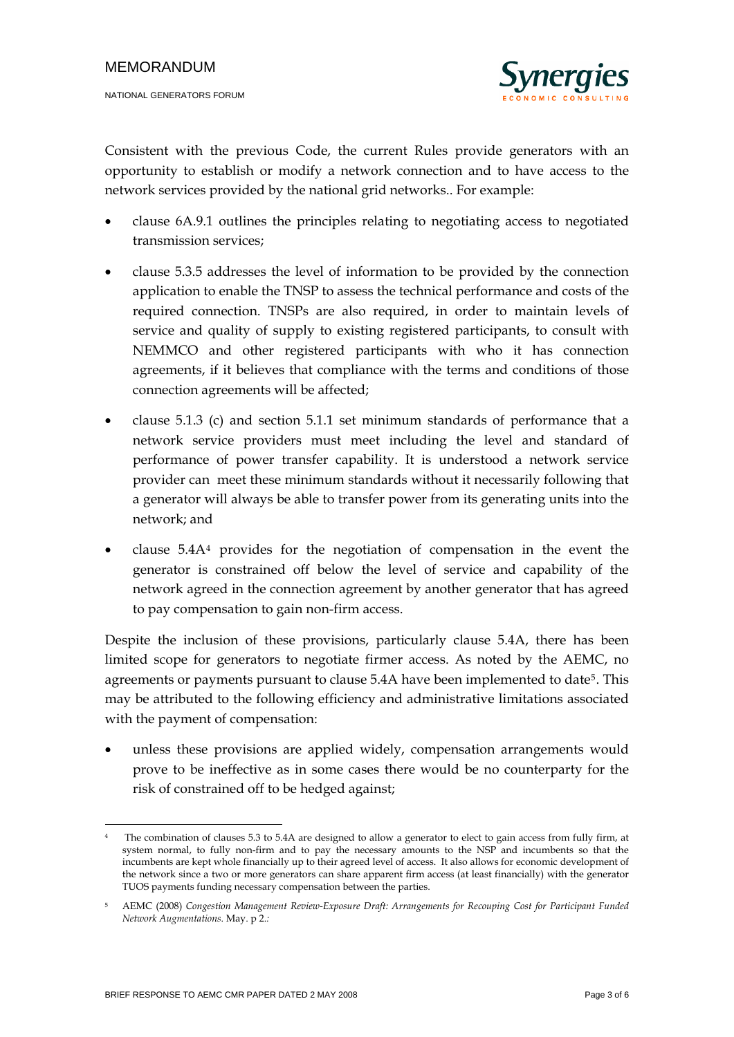

Consistent with the previous Code, the current Rules provide generators with an opportunity to establish or modify a network connection and to have access to the network services provided by the national grid networks.. For example:

- clause 6A.9.1 outlines the principles relating to negotiating access to negotiated transmission services;
- clause 5.3.5 addresses the level of information to be provided by the connection application to enable the TNSP to assess the technical performance and costs of the required connection. TNSPs are also required, in order to maintain levels of service and quality of supply to existing registered participants, to consult with NEMMCO and other registered participants with who it has connection agreements, if it believes that compliance with the terms and conditions of those connection agreements will be affected;
- clause 5.1.3 (c) and section 5.1.1 set minimum standards of performance that a network service providers must meet including the level and standard of performance of power transfer capability. It is understood a network service provider can meet these minimum standards without it necessarily following that a generator will always be able to transfer power from its generating units into the network; and
- clause 5.4A[4](#page-4-0) provides for the negotiation of compensation in the event the generator is constrained off below the level of service and capability of the network agreed in the connection agreement by another generator that has agreed to pay compensation to gain non-firm access.

Despite the inclusion of these provisions, particularly clause 5.4A, there has been limited scope for generators to negotiate firmer access. As noted by the AEMC, no agreements or payments pursuant to clause [5](#page-4-1).4A have been implemented to date<sup>5</sup>. This may be attributed to the following efficiency and administrative limitations associated with the payment of compensation:

• unless these provisions are applied widely, compensation arrangements would prove to be ineffective as in some cases there would be no counterparty for the risk of constrained off to be hedged against;

<u>.</u>

<span id="page-4-0"></span><sup>4</sup> The combination of clauses 5.3 to 5.4A are designed to allow a generator to elect to gain access from fully firm, at system normal, to fully non-firm and to pay the necessary amounts to the NSP and incumbents so that the incumbents are kept whole financially up to their agreed level of access. It also allows for economic development of the network since a two or more generators can share apparent firm access (at least financially) with the generator TUOS payments funding necessary compensation between the parties.

<span id="page-4-1"></span><sup>5</sup> AEMC (2008) *Congestion Management Review-Exposure Draft: Arrangements for Recouping Cost for Participant Funded Network Augmentations*. May. p 2.*:*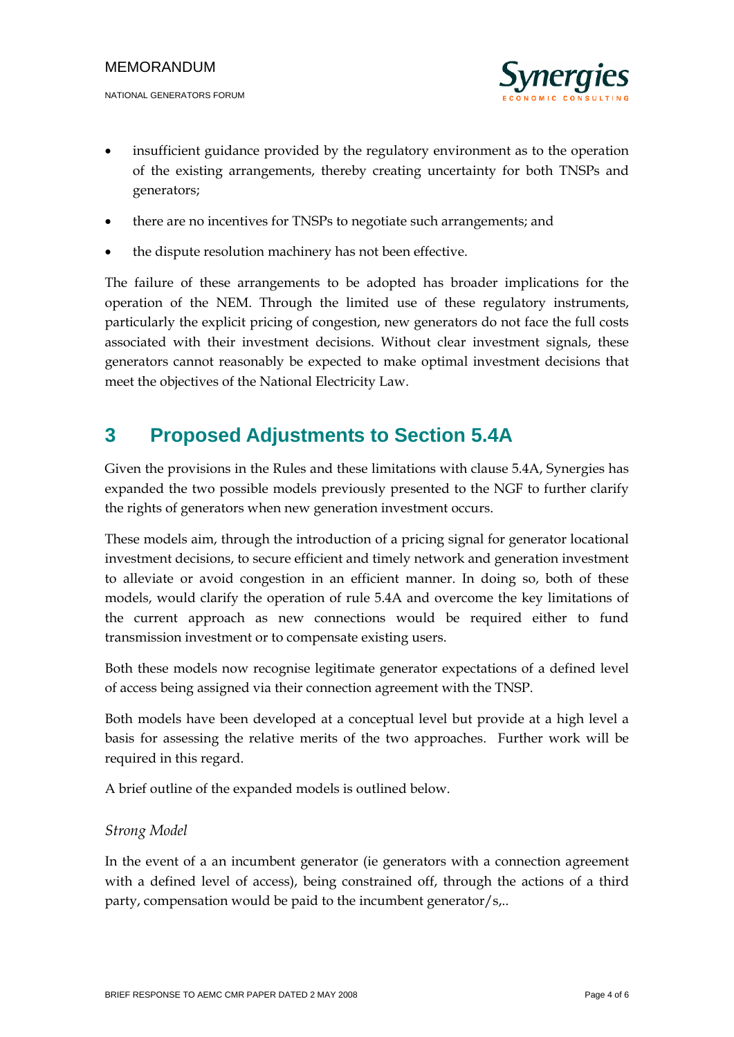

- insufficient guidance provided by the regulatory environment as to the operation of the existing arrangements, thereby creating uncertainty for both TNSPs and generators;
- there are no incentives for TNSPs to negotiate such arrangements; and
- the dispute resolution machinery has not been effective.

The failure of these arrangements to be adopted has broader implications for the operation of the NEM. Through the limited use of these regulatory instruments, particularly the explicit pricing of congestion, new generators do not face the full costs associated with their investment decisions. Without clear investment signals, these generators cannot reasonably be expected to make optimal investment decisions that meet the objectives of the National Electricity Law.

## **3 Proposed Adjustments to Section 5.4A**

Given the provisions in the Rules and these limitations with clause 5.4A, Synergies has expanded the two possible models previously presented to the NGF to further clarify the rights of generators when new generation investment occurs.

These models aim, through the introduction of a pricing signal for generator locational investment decisions, to secure efficient and timely network and generation investment to alleviate or avoid congestion in an efficient manner. In doing so, both of these models, would clarify the operation of rule 5.4A and overcome the key limitations of the current approach as new connections would be required either to fund transmission investment or to compensate existing users.

Both these models now recognise legitimate generator expectations of a defined level of access being assigned via their connection agreement with the TNSP.

Both models have been developed at a conceptual level but provide at a high level a basis for assessing the relative merits of the two approaches. Further work will be required in this regard.

A brief outline of the expanded models is outlined below.

### *Strong Model*

In the event of a an incumbent generator (ie generators with a connection agreement with a defined level of access), being constrained off, through the actions of a third party, compensation would be paid to the incumbent generator/s,..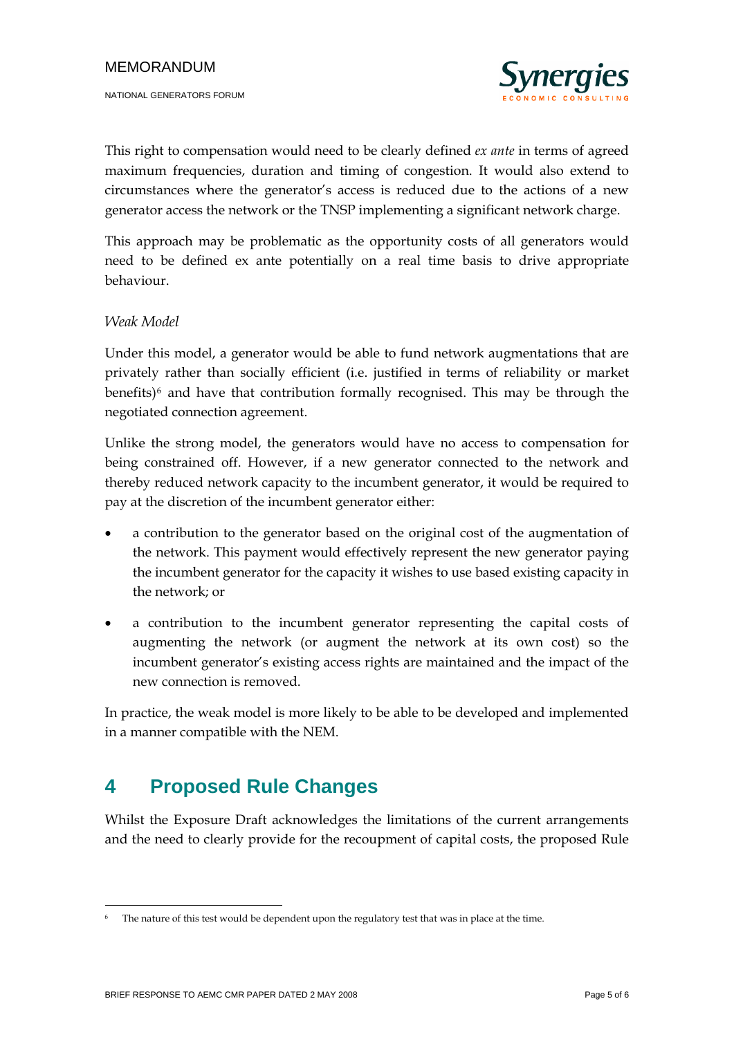

This right to compensation would need to be clearly defined *ex ante* in terms of agreed maximum frequencies, duration and timing of congestion. It would also extend to circumstances where the generator's access is reduced due to the actions of a new generator access the network or the TNSP implementing a significant network charge.

This approach may be problematic as the opportunity costs of all generators would need to be defined ex ante potentially on a real time basis to drive appropriate behaviour.

### *Weak Model*

Under this model, a generator would be able to fund network augmentations that are privately rather than socially efficient (i.e. justified in terms of reliability or market benefits) $6$  and have that contribution formally recognised. This may be through the negotiated connection agreement.

Unlike the strong model, the generators would have no access to compensation for being constrained off. However, if a new generator connected to the network and thereby reduced network capacity to the incumbent generator, it would be required to pay at the discretion of the incumbent generator either:

- a contribution to the generator based on the original cost of the augmentation of the network. This payment would effectively represent the new generator paying the incumbent generator for the capacity it wishes to use based existing capacity in the network; or
- a contribution to the incumbent generator representing the capital costs of augmenting the network (or augment the network at its own cost) so the incumbent generator's existing access rights are maintained and the impact of the new connection is removed.

In practice, the weak model is more likely to be able to be developed and implemented in a manner compatible with the NEM.

## **4 Proposed Rule Changes**

Whilst the Exposure Draft acknowledges the limitations of the current arrangements and the need to clearly provide for the recoupment of capital costs, the proposed Rule

<u>.</u>

<span id="page-6-0"></span>The nature of this test would be dependent upon the regulatory test that was in place at the time.